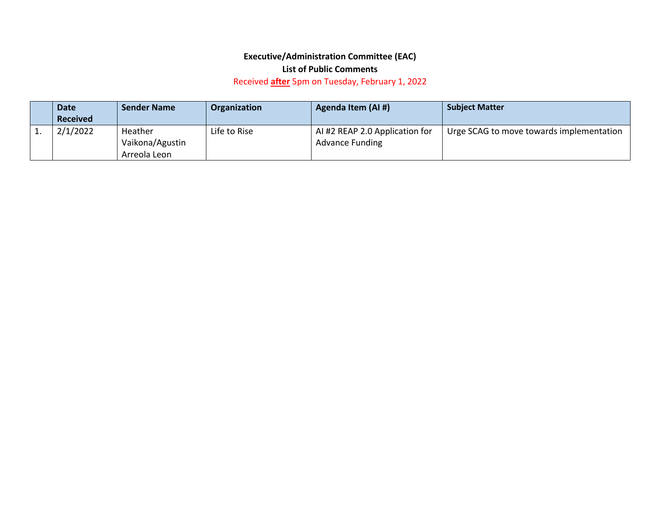## **Executive/Administration Committee (EAC)**

## **List of Public Comments**

## Received **after** 5pm on Tuesday, February 1, 2022

|          | <b>Date</b>     | <b>Sender Name</b>         | Organization | Agenda Item (AI #)                                       | <b>Subject Matter</b>                    |
|----------|-----------------|----------------------------|--------------|----------------------------------------------------------|------------------------------------------|
|          | <b>Received</b> |                            |              |                                                          |                                          |
| <b>.</b> | 2/1/2022        | Heather<br>Vaikona/Agustin | Life to Rise | AI #2 REAP 2.0 Application for<br><b>Advance Funding</b> | Urge SCAG to move towards implementation |
|          |                 | Arreola Leon               |              |                                                          |                                          |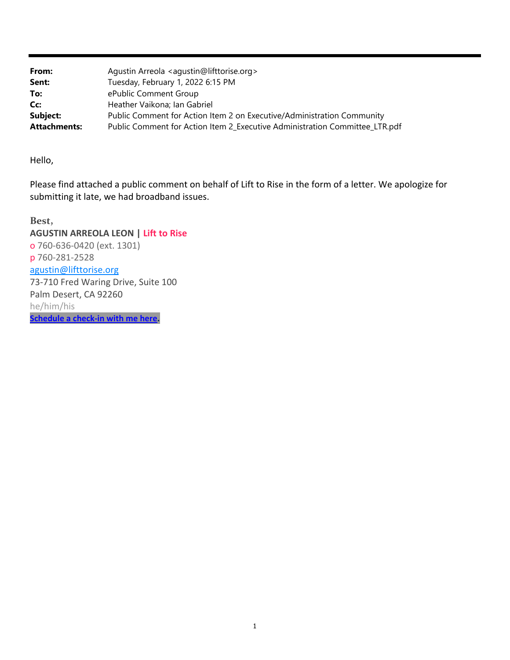| From:               | Agustin Arreola <agustin@lifttorise.org></agustin@lifttorise.org>           |
|---------------------|-----------------------------------------------------------------------------|
| Sent:               | Tuesday, February 1, 2022 6:15 PM                                           |
| To:                 | ePublic Comment Group                                                       |
| Cc:                 | Heather Vaikona; Ian Gabriel                                                |
| Subject:            | Public Comment for Action Item 2 on Executive/Administration Community      |
| <b>Attachments:</b> | Public Comment for Action Item 2_Executive Administration Committee_LTR.pdf |

Hello,

Please find attached a public comment on behalf of Lift to Rise in the form of a letter. We apologize for submitting it late, we had broadband issues.

**Best, AGUSTIN ARREOLA LEON | Lift to Rise** o 760‐636‐0420 (ext. 1301) p 760‐281‐2528 agustin@lifttorise.org 73‐710 Fred Waring Drive, Suite 100 Palm Desert, CA 92260 he/him/his **Schedule a check‐in with me here.**